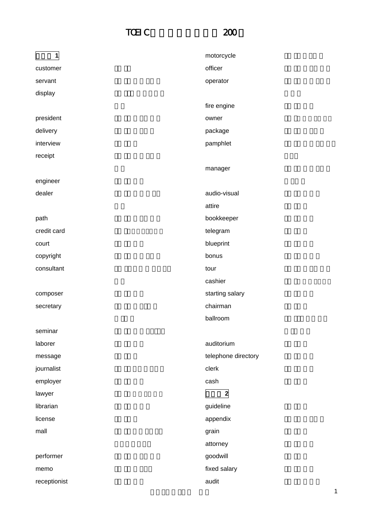## TOEIC 200



| $\mathbf{1}$ | motorcycle          |
|--------------|---------------------|
| customer     | officer             |
| servant      | operator            |
| display      |                     |
|              | fire engine         |
| president    | owner               |
| delivery     | package             |
| interview    | pamphlet            |
| receipt      |                     |
|              | manager             |
| engineer     |                     |
| dealer       | audio-visual        |
|              | attire              |
| path         | bookkeeper          |
| credit card  | telegram            |
| court        | blueprint           |
| copyright    | bonus               |
| consultant   | tour                |
|              | cashier             |
| composer     | starting salary     |
| secretary    | chairman            |
|              | ballroom            |
| seminar      |                     |
| laborer      | auditorium          |
| message      | telephone directory |
| journalist   | clerk               |
| employer     | cash                |
| lawyer       | $\mathbf{2}$        |
| librarian    | guideline           |
| license      | appendix            |
| mall         | grain               |
|              | attorney            |
| performer    | goodwill            |
| memo         | fixed salary        |
| receptionist | audit               |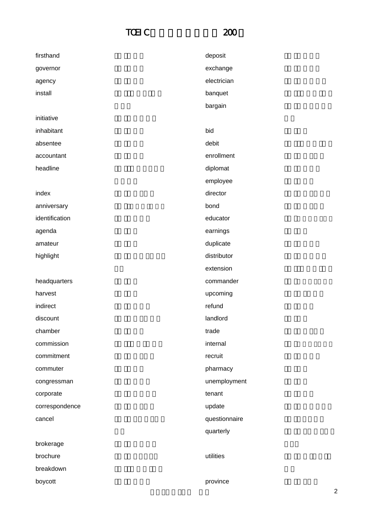## TOEIC 200



| firsthand      | deposit       |
|----------------|---------------|
| governor       | exchange      |
| agency         | electrician   |
| install        | banquet       |
|                | bargain       |
| initiative     |               |
| inhabitant     | bid           |
| absentee       | debit         |
| accountant     | enrollment    |
| headline       | diplomat      |
|                | employee      |
| index          | director      |
| anniversary    | bond          |
| identification | educator      |
| agenda         | earnings      |
| amateur        | duplicate     |
| highlight      | distributor   |
|                | extension     |
| headquarters   | commander     |
| harvest        | upcoming      |
| indirect       | refund        |
| discount       | landlord      |
| chamber        | trade         |
| commission     | internal      |
| commitment     | recruit       |
| commuter       | pharmacy      |
| congressman    | unemployment  |
| corporate      | tenant        |
| correspondence | update        |
| cancel         | questionnaire |
|                | quarterly     |
| brokerage      |               |
| brochure       | utilities     |
| breakdown      |               |
| boycott        | province      |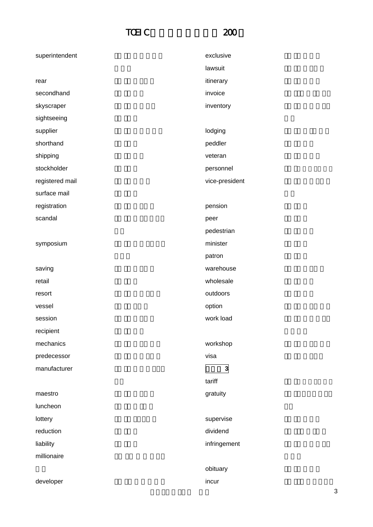## $TCEIC$  200



| superintendent  | exclusive      |
|-----------------|----------------|
|                 | lawsuit        |
| rear            | itinerary      |
| secondhand      | invoice        |
| skyscraper      | inventory      |
| sightseeing     |                |
| supplier        | lodging        |
| shorthand       | peddler        |
| shipping        | veteran        |
| stockholder     | personnel      |
| registered mail | vice-president |
| surface mail    |                |
| registration    | pension        |
| scandal         | peer           |
|                 | pedestrian     |
| symposium       | minister       |
|                 | patron         |
| saving          | warehouse      |
| retail          | wholesale      |
| resort          | outdoors       |
| vessel          | option         |
| session         | work load      |
| recipient       |                |
| mechanics       | workshop       |
| predecessor     | visa           |
| manufacturer    | $\mathbf{3}$   |
|                 | tariff         |
| maestro         | gratuity       |
| luncheon        |                |
| lottery         | supervise      |
| reduction       | dividend       |
| liability       | infringement   |
| millionaire     |                |
|                 | obituary       |
| developer       | incur          |